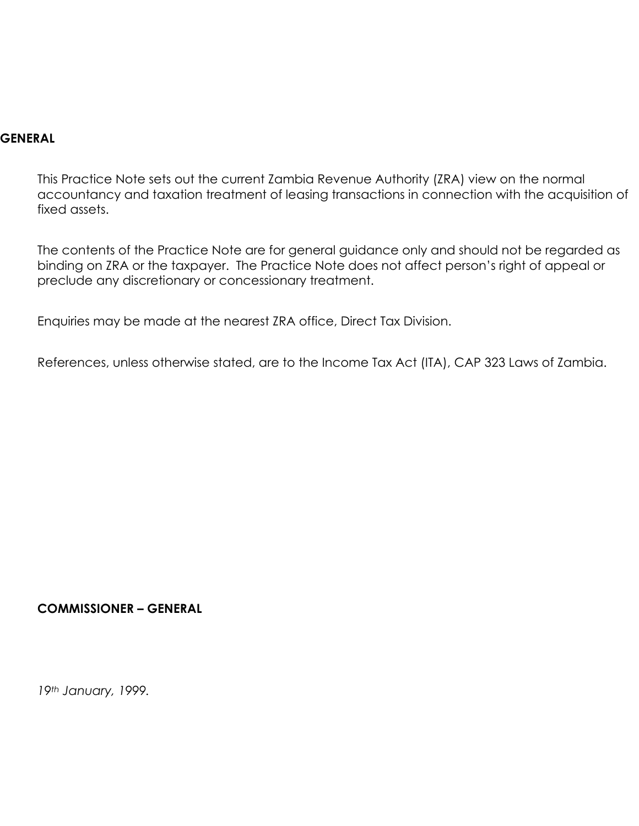#### **GENERAL**

This Practice Note sets out the current Zambia Revenue Authority (ZRA) view on the normal accountancy and taxation treatment of leasing transactions in connection with the acquisition of fixed assets.

The contents of the Practice Note are for general guidance only and should not be regarded as binding on ZRA or the taxpayer. The Practice Note does not affect person's right of appeal or preclude any discretionary or concessionary treatment.

Enquiries may be made at the nearest ZRA office, Direct Tax Division.

References, unless otherwise stated, are to the Income Tax Act (ITA), CAP 323 Laws of Zambia.

#### **COMMISSIONER – GENERAL**

*19th January, 1999.*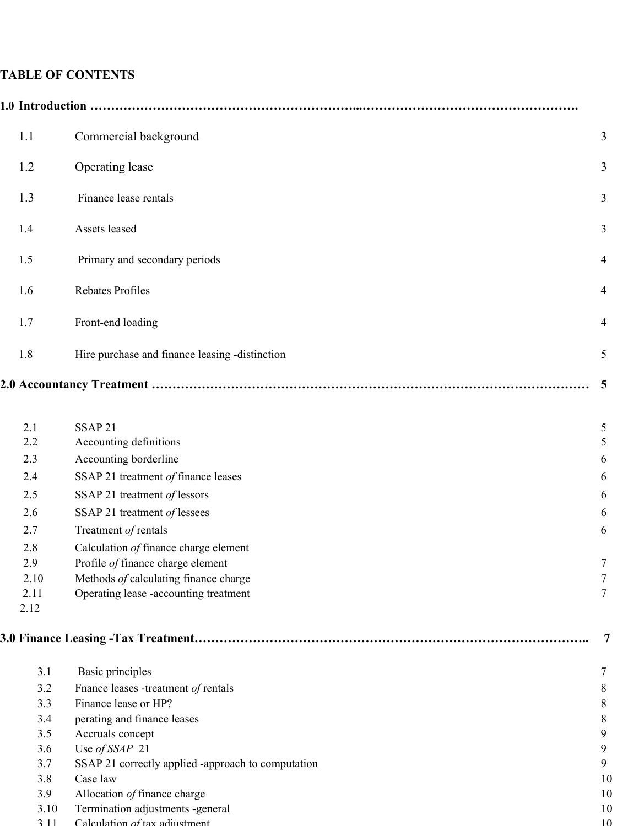# **TABLE OF CONTENTS**

|  | 1.1                                           | Commercial background                                                                                                                                                                                      | 3                               |
|--|-----------------------------------------------|------------------------------------------------------------------------------------------------------------------------------------------------------------------------------------------------------------|---------------------------------|
|  | 1.2                                           | Operating lease                                                                                                                                                                                            | 3                               |
|  | 1.3                                           | Finance lease rentals                                                                                                                                                                                      | 3                               |
|  | 1.4                                           | Assets leased                                                                                                                                                                                              | 3                               |
|  | 1.5                                           | Primary and secondary periods                                                                                                                                                                              | $\overline{4}$                  |
|  | 1.6                                           | Rebates Profiles                                                                                                                                                                                           | $\overline{4}$                  |
|  | 1.7                                           | Front-end loading                                                                                                                                                                                          | $\overline{4}$                  |
|  | 1.8                                           | Hire purchase and finance leasing -distinction                                                                                                                                                             | 5                               |
|  |                                               |                                                                                                                                                                                                            | 5                               |
|  | 2.1<br>2.2<br>2.3<br>2.4<br>2.5               | SSAP <sub>21</sub><br>Accounting definitions<br>Accounting borderline<br>SSAP 21 treatment of finance leases<br>SSAP 21 treatment of lessors                                                               | 5<br>5<br>6<br>6<br>6           |
|  | 2.6<br>2.7                                    | SSAP 21 treatment of lessees<br>Treatment of rentals                                                                                                                                                       | 6<br>6                          |
|  | 2.8<br>2.9<br>2.10<br>2.11<br>2.12            | Calculation of finance charge element<br>Profile of finance charge element<br>Methods of calculating finance charge<br>Operating lease -accounting treatment                                               | 7<br>7<br>7                     |
|  |                                               |                                                                                                                                                                                                            | 7                               |
|  | 3.1<br>3.2<br>3.3<br>3.4<br>3.5<br>3.6<br>3.7 | Basic principles<br>Fnance leases -treatment of rentals<br>Finance lease or HP?<br>perating and finance leases<br>Accruals concept<br>Use of SSAP 21<br>SSAP 21 correctly applied -approach to computation | 7<br>8<br>8<br>8<br>9<br>9<br>9 |
|  | 3.8<br>3.9<br>3.10<br>311                     | Case law<br>Allocation of finance charge<br>Termination adjustments -general<br>Calculation of tax adjustment.                                                                                             | 10<br>10<br>10<br>10            |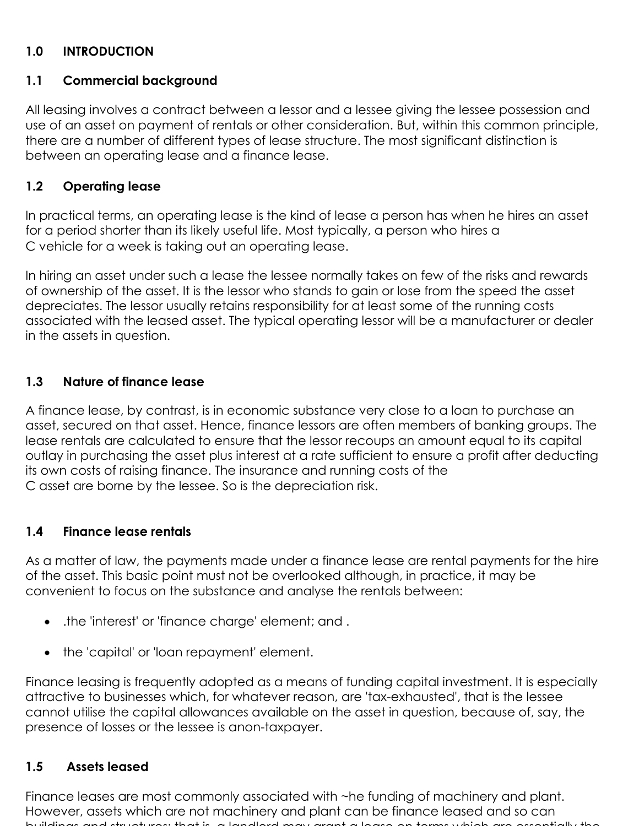#### **1.0 INTRODUCTION**

#### **1.1 Commercial background**

All leasing involves a contract between a lessor and a lessee giving the lessee possession and use of an asset on payment of rentals or other consideration. But, within this common principle, there are a number of different types of lease structure. The most significant distinction is between an operating lease and a finance lease.

#### **1.2 Operating lease**

In practical terms, an operating lease is the kind of lease a person has when he hires an asset for a period shorter than its likely useful life. Most typically, a person who hires a C vehicle for a week is taking out an operating lease.

In hiring an asset under such a lease the lessee normally takes on few of the risks and rewards of ownership of the asset. It is the lessor who stands to gain or lose from the speed the asset depreciates. The lessor usually retains responsibility for at least some of the running costs associated with the leased asset. The typical operating lessor will be a manufacturer or dealer in the assets in question.

#### **1.3 Nature of finance lease**

A finance lease, by contrast, is in economic substance very close to a loan to purchase an asset, secured on that asset. Hence, finance lessors are often members of banking groups. The lease rentals are calculated to ensure that the lessor recoups an amount equal to its capital outlay in purchasing the asset plus interest at a rate sufficient to ensure a profit after deducting its own costs of raising finance. The insurance and running costs of the C asset are borne by the lessee. So is the depreciation risk.

#### **1.4 Finance lease rentals**

As a matter of law, the payments made under a finance lease are rental payments for the hire of the asset. This basic point must not be overlooked although, in practice, it may be convenient to focus on the substance and analyse the rentals between:

- .the 'interest' or 'finance charge' element; and .
- the 'capital' or 'loan repayment' element.

Finance leasing is frequently adopted as a means of funding capital investment. It is especially attractive to businesses which, for whatever reason, are 'tax-exhausted', that is the lessee cannot utilise the capital allowances available on the asset in question, because of, say, the presence of losses or the lessee is anon-taxpayer.

#### $1.5$ **1.5 Assets leased**

Finance leases are most commonly associated with ~he funding of machinery and plant. However, assets which are not machinery and plant can be finance leased and so can buildings and structures; that is a landlord may grant a lease on terms which are essentially the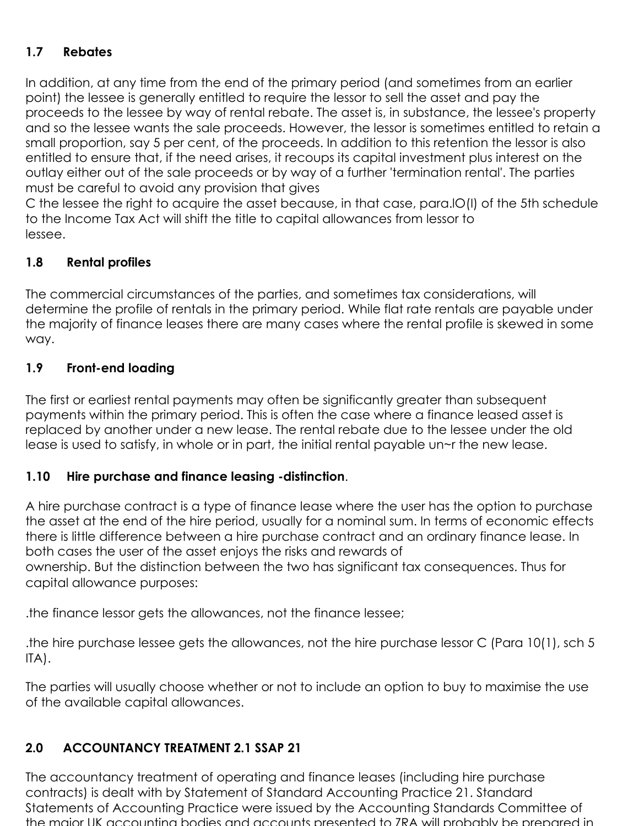# **1.7 Rebates**

In addition, at any time from the end of the primary period (and sometimes from an earlier point) the lessee is generally entitled to require the lessor to sell the asset and pay the proceeds to the lessee by way of rental rebate. The asset is, in substance, the lessee's property and so the lessee wants the sale proceeds. However, the lessor is sometimes entitled to retain a small proportion, say 5 per cent, of the proceeds. In addition to this retention the lessor is also entitled to ensure that, if the need arises, it recoups its capital investment plus interest on the outlay either out of the sale proceeds or by way of a further 'termination rental'. The parties must be careful to avoid any provision that gives

C the lessee the right to acquire the asset because, in that case, para.lO(I) of the 5th schedule to the Income Tax Act will shift the title to capital allowances from lessor to lessee.

#### **1.8 Rental profiles**

The commercial circumstances of the parties, and sometimes tax considerations, will determine the profile of rentals in the primary period. While flat rate rentals are payable under the majority of finance leases there are many cases where the rental profile is skewed in some way.

#### **1.9 Front-end loading**

The first or earliest rental payments may often be significantly greater than subsequent payments within the primary period. This is often the case where a finance leased asset is replaced by another under a new lease. The rental rebate due to the lessee under the old lease is used to satisfy, in whole or in part, the initial rental payable un~r the new lease.

#### **1.10 Hire purchase and finance leasing -distinction**.

A hire purchase contract is a type of finance lease where the user has the option to purchase the asset at the end of the hire period, usually for a nominal sum. In terms of economic effects there is little difference between a hire purchase contract and an ordinary finance lease. In both cases the user of the asset enjoys the risks and rewards of ownership. But the distinction between the two has significant tax consequences. Thus for capital allowance purposes:

.the finance lessor gets the allowances, not the finance lessee;

.the hire purchase lessee gets the allowances, not the hire purchase lessor C (Para 10(1), sch 5 ITA).

The parties will usually choose whether or not to include an option to buy to maximise the use of the available capital allowances.

## **2.0 ACCOUNTANCY TREATMENT 2.1 SSAP 21**

The accountancy treatment of operating and finance leases (including hire purchase contracts) is dealt with by Statement of Standard Accounting Practice 21. Standard Statements of Accounting Practice were issued by the Accounting Standards Committee of the major UK accounting bodies and accounts presented to ZRA will probably be prepared in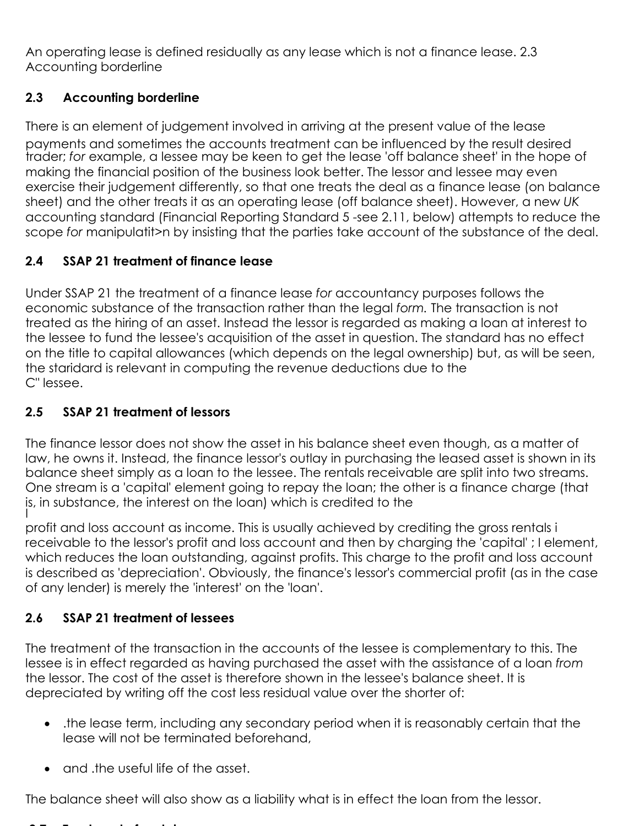An operating lease is defined residually as any lease which is not a finance lease. 2.3 Accounting borderline

# **2.3 Accounting borderline**

There is an element of judgement involved in arriving at the present value of the lease payments and sometimes the accounts treatment can be influenced by the result desired trader; *for* example, a lessee may be keen to get the lease 'off balance sheet' in the hope of making the financial position of the business look better. The lessor and lessee may even exercise their judgement differently, so that one treats the deal as a finance lease (on balance sheet) and the other treats it as an operating lease (off balance sheet). However, a new *UK*  accounting standard (Financial Reporting Standard 5 -see 2.11, below) attempts to reduce the scope *for* manipulatit>n by insisting that the parties take account of the substance of the deal.

# **2.4 SSAP 21 treatment of finance lease**

Under SSAP 21 the treatment of a finance lease *for* accountancy purposes follows the economic substance of the transaction rather than the legal *form.* The transaction is not treated as the hiring of an asset. Instead the lessor is regarded as making a loan at interest to the lessee to fund the lessee's acquisition of the asset in question. The standard has no effect on the title to capital allowances (which depends on the legal ownership) but, as will be seen, the staridard is relevant in computing the revenue deductions due to the C" lessee.

# **2.5 SSAP 21 treatment of lessors**

The finance lessor does not show the asset in his balance sheet even though, as a matter of law, he owns it. Instead, the finance lessor's outlay in purchasing the leased asset is shown in its balance sheet simply as a loan to the lessee. The rentals receivable are split into two streams. One stream is a 'capital' element going to repay the loan; the other is a finance charge (that is, in substance, the interest on the loan) which is credited to the

profit and loss account as income. This is usually achieved by crediting the gross rentals i receivable to the lessor's profit and loss account and then by charging the 'capital' ; I element, which reduces the loan outstanding, against profits. This charge to the profit and loss account is described as 'depreciation'. Obviously, the finance's lessor's commercial profit (as in the case of any lender) is merely the 'interest' on the 'loan'.

# **2.6 SSAP 21 treatment of lessees**

The treatment of the transaction in the accounts of the lessee is complementary to this. The lessee is in effect regarded as having purchased the asset with the assistance of a loan *from*  the lessor. The cost of the asset is therefore shown in the lessee's balance sheet. It is depreciated by writing off the cost less residual value over the shorter of:

- .the lease term, including any secondary period when it is reasonably certain that the lease will not be terminated beforehand,
- and the useful life of the asset.

The balance sheet will also show as a liability what is in effect the loan from the lessor.

#### **2 7 T t t t f t t t t t t t t t t t t t t**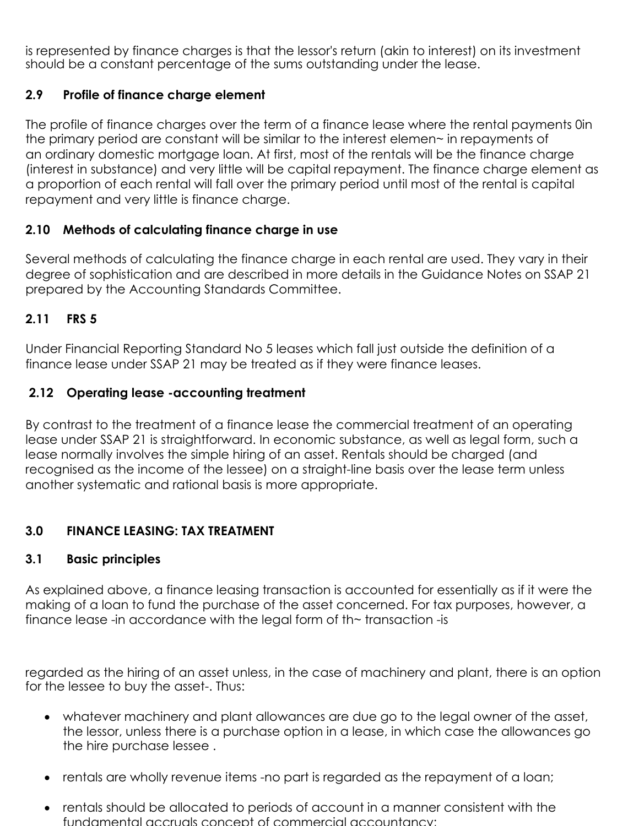is represented by finance charges is that the lessor's return (akin to interest) on its investment should be a constant percentage of the sums outstanding under the lease.

## **2.9 Profile of finance charge element**

The profile of finance charges over the term of a finance lease where the rental payments 0in the primary period are constant will be similar to the interest elemen~ in repayments of an ordinary domestic mortgage loan. At first, most of the rentals will be the finance charge (interest in substance) and very little will be capital repayment. The finance charge element as a proportion of each rental will fall over the primary period until most of the rental is capital repayment and very little is finance charge.

## **2.10 Methods of calculating finance charge in use**

Several methods of calculating the finance charge in each rental are used. They vary in their degree of sophistication and are described in more details in the Guidance Notes on SSAP 21 prepared by the Accounting Standards Committee.

## **2.11 FRS 5**

Under Financial Reporting Standard No 5 leases which fall just outside the definition of a finance lease under SSAP 21 may be treated as if they were finance leases.

## **2.12 Operating lease -accounting treatment**

By contrast to the treatment of a finance lease the commercial treatment of an operating lease under SSAP 21 is straightforward. In economic substance, as well as legal form, such a lease normally involves the simple hiring of an asset. Rentals should be charged (and recognised as the income of the lessee) on a straight-line basis over the lease term unless another systematic and rational basis is more appropriate.

# **3.0 FINANCE LEASING: TAX TREATMENT**

## **3.1 Basic principles**

As explained above, a finance leasing transaction is accounted for essentially as if it were the making of a loan to fund the purchase of the asset concerned. For tax purposes, however, a finance lease -in accordance with the legal form of th~ transaction -is

regarded as the hiring of an asset unless, in the case of machinery and plant, there is an option for the lessee to buy the asset-. Thus:

- whatever machinery and plant allowances are due go to the legal owner of the asset, the lessor, unless there is a purchase option in a lease, in which case the allowances go the hire purchase lessee .
- rentals are wholly revenue items -no part is regarded as the repayment of a loan;
- rentals should be allocated to periods of account in a manner consistent with the fundamental accruals concept of commercial accountancy;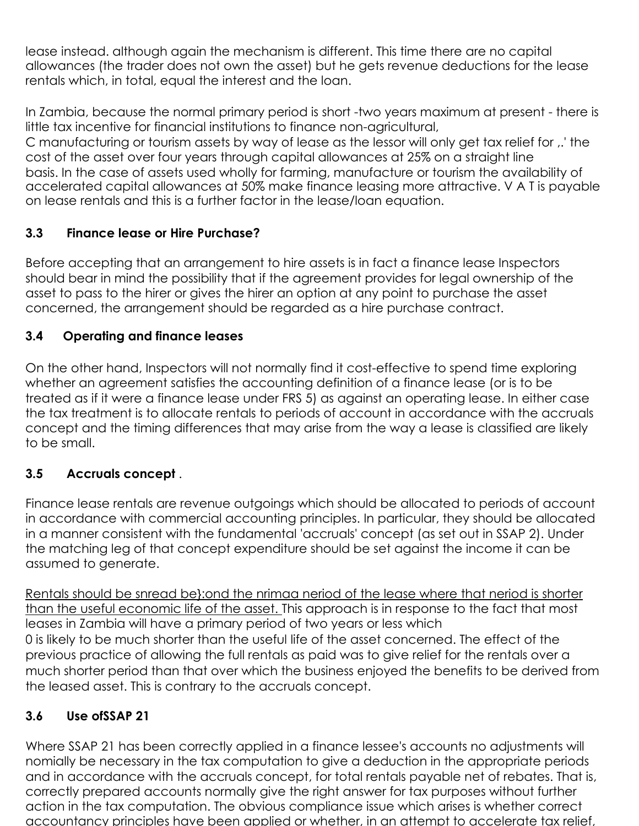lease instead. although again the mechanism is different. This time there are no capital allowances (the trader does not own the asset) but he gets revenue deductions for the lease rentals which, in total, equal the interest and the loan.

In Zambia, because the normal primary period is short -two years maximum at present - there is little tax incentive for financial institutions to finance non-agricultural,

C manufacturing or tourism assets by way of lease as the lessor will only get tax relief for ,.' the cost of the asset over four years through capital allowances at 25% on a straight line basis. In the case of assets used wholly for farming, manufacture or tourism the availability of accelerated capital allowances at 50% make finance leasing more attractive. V A T is payable on lease rentals and this is a further factor in the lease/loan equation.

## **3.3 Finance lease or Hire Purchase?**

Before accepting that an arrangement to hire assets is in fact a finance lease Inspectors should bear in mind the possibility that if the agreement provides for legal ownership of the asset to pass to the hirer or gives the hirer an option at any point to purchase the asset concerned, the arrangement should be regarded as a hire purchase contract.

## **3.4 Operating and finance leases**

On the other hand, Inspectors will not normally find it cost-effective to spend time exploring whether an agreement satisfies the accounting definition of a finance lease (or is to be treated as if it were a finance lease under FRS 5) as against an operating lease. In either case the tax treatment is to allocate rentals to periods of account in accordance with the accruals concept and the timing differences that may arise from the way a lease is classified are likely to be small.

## **3.5 Accruals concept** .

Finance lease rentals are revenue outgoings which should be allocated to periods of account in accordance with commercial accounting principles. In particular, they should be allocated in a manner consistent with the fundamental 'accruals' concept (as set out in SSAP 2). Under the matching leg of that concept expenditure should be set against the income it can be assumed to generate.

Rentals should be snread be}:ond the nrimaa neriod of the lease where that neriod is shorter than the useful economic life of the asset. This approach is in response to the fact that most leases in Zambia will have a primary period of two years or less which 0 is likely to be much shorter than the useful life of the asset concerned. The effect of the previous practice of allowing the full rentals as paid was to give relief for the rentals over a much shorter period than that over which the business enjoyed the benefits to be derived from the leased asset. This is contrary to the accruals concept.

# **3.6 Use ofSSAP 21**

Where SSAP 21 has been correctly applied in a finance lessee's accounts no adjustments will nomially be necessary in the tax computation to give a deduction in the appropriate periods and in accordance with the accruals concept, for total rentals payable net of rebates. That is, correctly prepared accounts normally give the right answer for tax purposes without further action in the tax computation. The obvious compliance issue which arises is whether correct accountancy principles have been applied or whether, in an attempt to accelerate tax relief,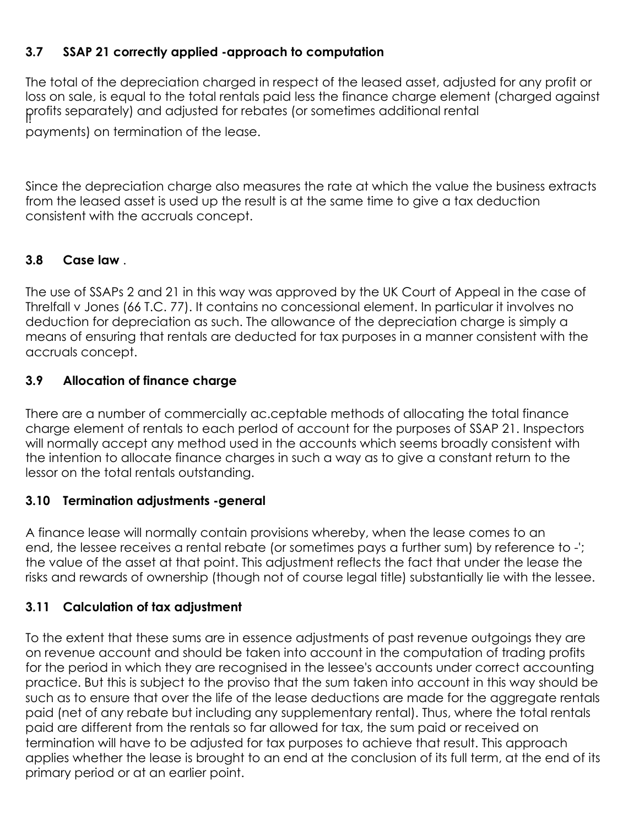## **3.7 SSAP 21 correctly applied -approach to computation**

The total of the depreciation charged in respect of the leased asset, adjusted for any profit or loss on sale, is equal to the total rentals paid less the finance charge element (charged against profits separately) and adjusted for rebates (or sometimes additional rental

payments) on termination of the lease.

Since the depreciation charge also measures the rate at which the value the business extracts from the leased asset is used up the result is at the same time to give a tax deduction consistent with the accruals concept.

## **3.8 Case law** .

The use of SSAPs 2 and 21 in this way was approved by the UK Court of Appeal in the case of Threlfall v Jones (66 T.C. 77). It contains no concessional element. In particular it involves no deduction for depreciation as such. The allowance of the depreciation charge is simply a means of ensuring that rentals are deducted for tax purposes in a manner consistent with the accruals concept.

#### **3.9 Allocation of finance charge**

There are a number of commercially ac.ceptable methods of allocating the total finance charge element of rentals to each perIod of account for the purposes of SSAP 21. Inspectors will normally accept any method used in the accounts which seems broadly consistent with the intention to allocate finance charges in such a way as to give a constant return to the lessor on the total rentals outstanding.

## **3.10 Termination adjustments -general**

A finance lease will normally contain provisions whereby, when the lease comes to an end, the lessee receives a rental rebate (or sometimes pays a further sum) by reference to -'; the value of the asset at that point. This adjustment reflects the fact that under the lease the risks and rewards of ownership (though not of course legal title) substantially lie with the lessee.

## **3.11 Calculation of tax adjustment**

To the extent that these sums are in essence adjustments of past revenue outgoings they are on revenue account and should be taken into account in the computation of trading profits for the period in which they are recognised in the lessee's accounts under correct accounting practice. But this is subject to the proviso that the sum taken into account in this way should be such as to ensure that over the life of the lease deductions are made for the aggregate rentals paid (net of any rebate but including any supplementary rental). Thus, where the total rentals paid are different from the rentals so far allowed for tax, the sum paid or received on termination will have to be adjusted for tax purposes to achieve that result. This approach applies whether the lease is brought to an end at the conclusion of its full term, at the end of its primary period or at an earlier point.